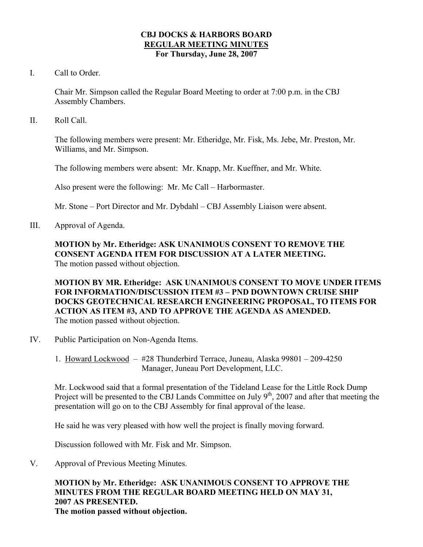### **CBJ DOCKS & HARBORS BOARD REGULAR MEETING MINUTES For Thursday, June 28, 2007**

I. Call to Order.

Chair Mr. Simpson called the Regular Board Meeting to order at 7:00 p.m. in the CBJ Assembly Chambers.

II. Roll Call.

The following members were present: Mr. Etheridge, Mr. Fisk, Ms. Jebe, Mr. Preston, Mr. Williams, and Mr. Simpson.

The following members were absent: Mr. Knapp, Mr. Kueffner, and Mr. White.

Also present were the following: Mr. Mc Call – Harbormaster.

Mr. Stone – Port Director and Mr. Dybdahl – CBJ Assembly Liaison were absent.

III. Approval of Agenda.

**MOTION by Mr. Etheridge: ASK UNANIMOUS CONSENT TO REMOVE THE CONSENT AGENDA ITEM FOR DISCUSSION AT A LATER MEETING.**  The motion passed without objection.

**MOTION BY MR. Etheridge: ASK UNANIMOUS CONSENT TO MOVE UNDER ITEMS FOR INFORMATION/DISCUSSION ITEM #3 – PND DOWNTOWN CRUISE SHIP DOCKS GEOTECHNICAL RESEARCH ENGINEERING PROPOSAL, TO ITEMS FOR ACTION AS ITEM #3, AND TO APPROVE THE AGENDA AS AMENDED.**  The motion passed without objection.

- IV. Public Participation on Non-Agenda Items.
	- 1. Howard Lockwood #28 Thunderbird Terrace, Juneau, Alaska 99801 209-4250 Manager, Juneau Port Development, LLC.

Mr. Lockwood said that a formal presentation of the Tideland Lease for the Little Rock Dump Project will be presented to the CBJ Lands Committee on July  $9<sup>th</sup>$ , 2007 and after that meeting the presentation will go on to the CBJ Assembly for final approval of the lease.

He said he was very pleased with how well the project is finally moving forward.

Discussion followed with Mr. Fisk and Mr. Simpson.

V. Approval of Previous Meeting Minutes.

# **MOTION by Mr. Etheridge: ASK UNANIMOUS CONSENT TO APPROVE THE MINUTES FROM THE REGULAR BOARD MEETING HELD ON MAY 31, 2007 AS PRESENTED. The motion passed without objection.**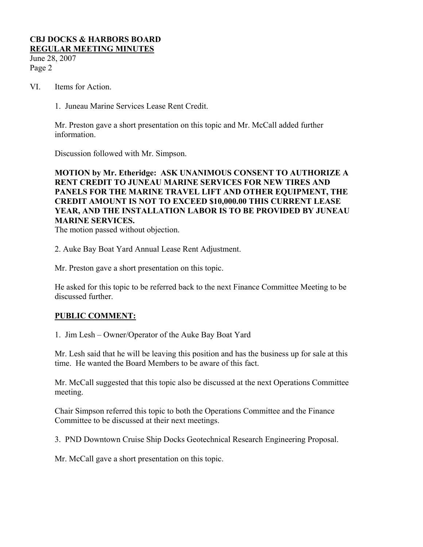June 28, 2007 Page 2

- VI. Items for Action.
	- 1. Juneau Marine Services Lease Rent Credit.

Mr. Preston gave a short presentation on this topic and Mr. McCall added further information.

Discussion followed with Mr. Simpson.

**MOTION by Mr. Etheridge: ASK UNANIMOUS CONSENT TO AUTHORIZE A RENT CREDIT TO JUNEAU MARINE SERVICES FOR NEW TIRES AND PANELS FOR THE MARINE TRAVEL LIFT AND OTHER EQUIPMENT, THE CREDIT AMOUNT IS NOT TO EXCEED \$10,000.00 THIS CURRENT LEASE YEAR, AND THE INSTALLATION LABOR IS TO BE PROVIDED BY JUNEAU MARINE SERVICES.** 

The motion passed without objection.

2. Auke Bay Boat Yard Annual Lease Rent Adjustment.

Mr. Preston gave a short presentation on this topic.

He asked for this topic to be referred back to the next Finance Committee Meeting to be discussed further.

# **PUBLIC COMMENT:**

1. Jim Lesh – Owner/Operator of the Auke Bay Boat Yard

Mr. Lesh said that he will be leaving this position and has the business up for sale at this time. He wanted the Board Members to be aware of this fact.

Mr. McCall suggested that this topic also be discussed at the next Operations Committee meeting.

Chair Simpson referred this topic to both the Operations Committee and the Finance Committee to be discussed at their next meetings.

3. PND Downtown Cruise Ship Docks Geotechnical Research Engineering Proposal.

Mr. McCall gave a short presentation on this topic.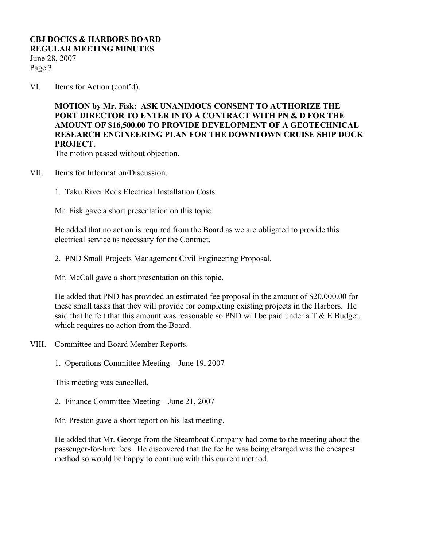June 28, 2007 Page 3

VI. Items for Action (cont'd).

**MOTION by Mr. Fisk: ASK UNANIMOUS CONSENT TO AUTHORIZE THE PORT DIRECTOR TO ENTER INTO A CONTRACT WITH PN & D FOR THE AMOUNT OF \$16,500.00 TO PROVIDE DEVELOPMENT OF A GEOTECHNICAL RESEARCH ENGINEERING PLAN FOR THE DOWNTOWN CRUISE SHIP DOCK PROJECT.** 

The motion passed without objection.

- VII. Items for Information/Discussion.
	- 1. Taku River Reds Electrical Installation Costs.

Mr. Fisk gave a short presentation on this topic.

He added that no action is required from the Board as we are obligated to provide this electrical service as necessary for the Contract.

2. PND Small Projects Management Civil Engineering Proposal.

Mr. McCall gave a short presentation on this topic.

He added that PND has provided an estimated fee proposal in the amount of \$20,000.00 for these small tasks that they will provide for completing existing projects in the Harbors. He said that he felt that this amount was reasonable so PND will be paid under a  $T \& E$  Budget, which requires no action from the Board.

- VIII. Committee and Board Member Reports.
	- 1. Operations Committee Meeting June 19, 2007

This meeting was cancelled.

2. Finance Committee Meeting – June 21, 2007

Mr. Preston gave a short report on his last meeting.

He added that Mr. George from the Steamboat Company had come to the meeting about the passenger-for-hire fees. He discovered that the fee he was being charged was the cheapest method so would be happy to continue with this current method.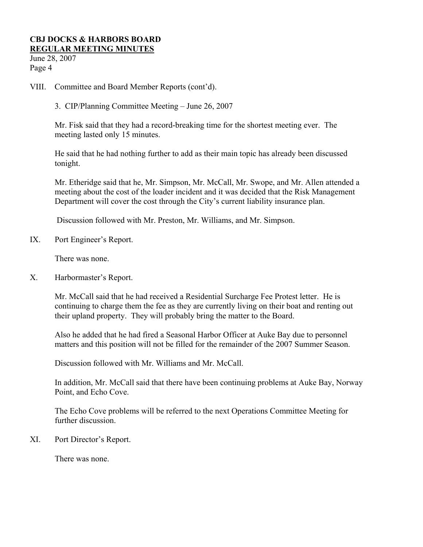June 28, 2007 Page 4

- VIII. Committee and Board Member Reports (cont'd).
	- 3. CIP/Planning Committee Meeting June 26, 2007

Mr. Fisk said that they had a record-breaking time for the shortest meeting ever. The meeting lasted only 15 minutes.

He said that he had nothing further to add as their main topic has already been discussed tonight.

Mr. Etheridge said that he, Mr. Simpson, Mr. McCall, Mr. Swope, and Mr. Allen attended a meeting about the cost of the loader incident and it was decided that the Risk Management Department will cover the cost through the City's current liability insurance plan.

Discussion followed with Mr. Preston, Mr. Williams, and Mr. Simpson.

IX. Port Engineer's Report.

There was none.

X. Harbormaster's Report.

Mr. McCall said that he had received a Residential Surcharge Fee Protest letter. He is continuing to charge them the fee as they are currently living on their boat and renting out their upland property. They will probably bring the matter to the Board.

Also he added that he had fired a Seasonal Harbor Officer at Auke Bay due to personnel matters and this position will not be filled for the remainder of the 2007 Summer Season.

Discussion followed with Mr. Williams and Mr. McCall.

In addition, Mr. McCall said that there have been continuing problems at Auke Bay, Norway Point, and Echo Cove.

The Echo Cove problems will be referred to the next Operations Committee Meeting for further discussion.

XI. Port Director's Report.

There was none.